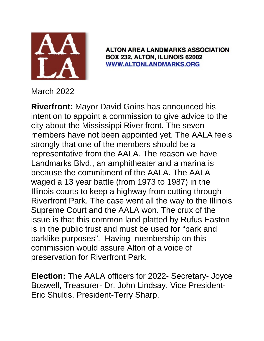

**ALTON AREA LANDMARKS ASSOCIATION** BOX 232, ALTON, ILLINOIS 62002 **WWW.ALTONLANDMARKS.ORG** 

March 2022

**Riverfront:** Mayor David Goins has announced his intention to appoint a commission to give advice to the city about the Mississippi River front. The seven members have not been appointed yet. The AALA feels strongly that one of the members should be a representative from the AALA. The reason we have Landmarks Blvd., an amphitheater and a marina is because the commitment of the AALA. The AALA waged a 13 year battle (from 1973 to 1987) in the Illinois courts to keep a highway from cutting through Riverfront Park. The case went all the way to the Illinois Supreme Court and the AALA won. The crux of the issue is that this common land platted by Rufus Easton is in the public trust and must be used for "park and parklike purposes". Having membership on this commission would assure Alton of a voice of preservation for Riverfront Park.

**Election:** The AALA officers for 2022- Secretary- Joyce Boswell, Treasurer- Dr. John Lindsay, Vice President-Eric Shultis, President-Terry Sharp.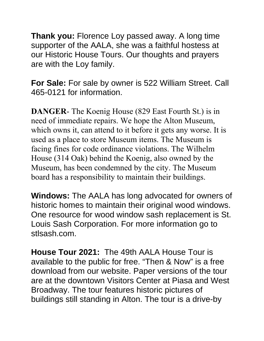**Thank you:** Florence Loy passed away. A long time supporter of the AALA, she was a faithful hostess at our Historic House Tours. Our thoughts and prayers are with the Loy family.

**For Sale:** For sale by owner is 522 William Street. Call 465-0121 for information.

**DANGER**- The Koenig House (829 East Fourth St.) is in need of immediate repairs. We hope the Alton Museum, which owns it, can attend to it before it gets any worse. It is used as a place to store Museum items. The Museum is facing fines for code ordinance violations. The Wilhelm House (314 Oak) behind the Koenig, also owned by the Museum, has been condemned by the city. The Museum board has a responsibility to maintain their buildings.

**Windows:** The AALA has long advocated for owners of historic homes to maintain their original wood windows. One resource for wood window sash replacement is St. Louis Sash Corporation. For more information go to stlsash.com.

**House Tour 2021:** The 49th AALA House Tour is available to the public for free. "Then & Now" is a free download from our website. Paper versions of the tour are at the downtown Visitors Center at Piasa and West Broadway. The tour features historic pictures of buildings still standing in Alton. The tour is a drive-by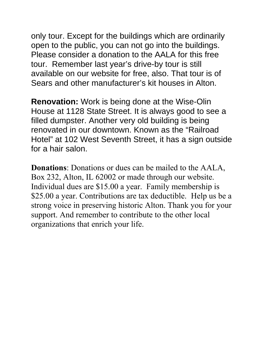only tour. Except for the buildings which are ordinarily open to the public, you can not go into the buildings. Please consider a donation to the AALA for this free tour. Remember last year's drive-by tour is still available on our website for free, also. That tour is of Sears and other manufacturer's kit houses in Alton.

**Renovation:** Work is being done at the Wise-Olin House at 1128 State Street. It is always good to see a filled dumpster. Another very old building is being renovated in our downtown. Known as the "Railroad Hotel" at 102 West Seventh Street, it has a sign outside for a hair salon.

**Donations**: Donations or dues can be mailed to the AALA, Box 232, Alton, IL 62002 or made through our website. Individual dues are \$15.00 a year. Family membership is \$25.00 a year. Contributions are tax deductible. Help us be a strong voice in preserving historic Alton. Thank you for your support. And remember to contribute to the other local organizations that enrich your life.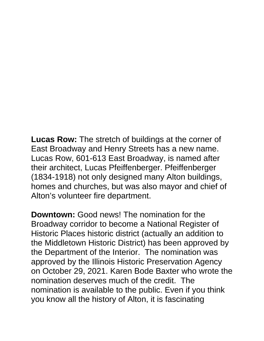**Lucas Row:** The stretch of buildings at the corner of East Broadway and Henry Streets has a new name. Lucas Row, 601-613 East Broadway, is named after their architect, Lucas Pfeiffenberger. Pfeiffenberger (1834-1918) not only designed many Alton buildings, homes and churches, but was also mayor and chief of Alton's volunteer fire department.

**Downtown:** Good news! The nomination for the Broadway corridor to become a National Register of Historic Places historic district (actually an addition to the Middletown Historic District) has been approved by the Department of the Interior. The nomination was approved by the Illinois Historic Preservation Agency on October 29, 2021. Karen Bode Baxter who wrote the nomination deserves much of the credit. The nomination is available to the public. Even if you think you know all the history of Alton, it is fascinating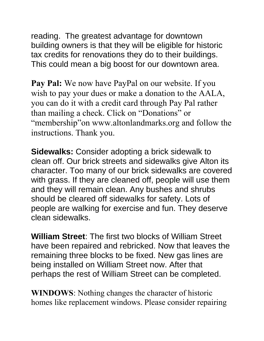reading. The greatest advantage for downtown building owners is that they will be eligible for historic tax credits for renovations they do to their buildings. This could mean a big boost for our downtown area.

**Pay Pal:** We now have PayPal on our website. If you wish to pay your dues or make a donation to the AALA, you can do it with a credit card through Pay Pal rather than mailing a check. Click on "Donations" or "membership"on www.altonlandmarks.org and follow the instructions. Thank you.

**Sidewalks:** Consider adopting a brick sidewalk to clean off. Our brick streets and sidewalks give Alton its character. Too many of our brick sidewalks are covered with grass. If they are cleaned off, people will use them and they will remain clean. Any bushes and shrubs should be cleared off sidewalks for safety. Lots of people are walking for exercise and fun. They deserve clean sidewalks.

**William Street**: The first two blocks of William Street have been repaired and rebricked. Now that leaves the remaining three blocks to be fixed. New gas lines are being installed on William Street now. After that perhaps the rest of William Street can be completed.

**WINDOWS**: Nothing changes the character of historic homes like replacement windows. Please consider repairing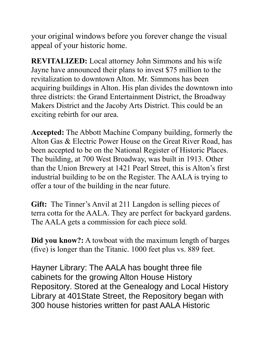your original windows before you forever change the visual appeal of your historic home.

**REVITALIZED:** Local attorney John Simmons and his wife Jayne have announced their plans to invest \$75 million to the revitalization to downtown Alton. Mr. Simmons has been acquiring buildings in Alton. His plan divides the downtown into three districts: the Grand Entertainment District, the Broadway Makers District and the Jacoby Arts District. This could be an exciting rebirth for our area.

**Accepted:** The Abbott Machine Company building, formerly the Alton Gas & Electric Power House on the Great River Road, has been accepted to be on the National Register of Historic Places. The building, at 700 West Broadway, was built in 1913. Other than the Union Brewery at 1421 Pearl Street, this is Alton's first industrial building to be on the Register. The AALA is trying to offer a tour of the building in the near future.

**Gift:** The Tinner's Anvil at 211 Langdon is selling pieces of terra cotta for the AALA. They are perfect for backyard gardens. The AALA gets a commission for each piece sold.

**Did you know?:** A towboat with the maximum length of barges (five) is longer than the Titanic. 1000 feet plus vs. 889 feet.

Hayner Library: The AALA has bought three file cabinets for the growing Alton House History Repository. Stored at the Genealogy and Local History Library at 401State Street, the Repository began with 300 house histories written for past AALA Historic